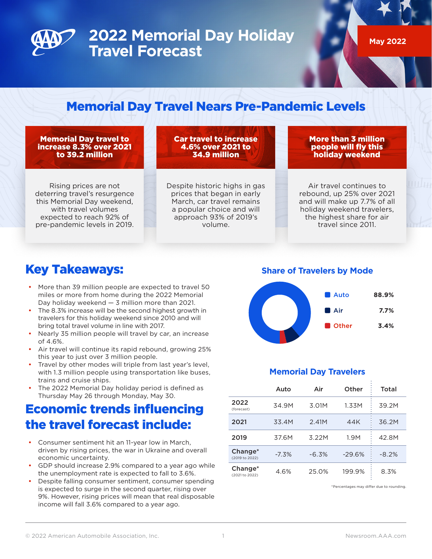

## **2022 Memorial Day Holiday Travel Forecast**

**May 2022**

### Memorial Day Travel Nears Pre-Pandemic Levels

#### Memorial Day travel to increase 8.3% over 2021 to 39.2 million

Rising prices are not deterring travel's resurgence this Memorial Day weekend, with travel volumes expected to reach 92% of pre-pandemic levels in 2019.

Car travel to increase 4.6% over 2021 to 34.9 million

Despite historic highs in gas prices that began in early March, car travel remains a popular choice and will approach 93% of 2019's volume.

More than 3 million people will fly this holiday weekend

Air travel continues to rebound, up 25% over 2021 and will make up 7.7% of all holiday weekend travelers, the highest share for air travel since 2011.

#### Key Takeaways:

- More than 39 million people are expected to travel 50 miles or more from home during the 2022 Memorial Day holiday weekend — 3 million more than 2021.
- The 8.3% increase will be the second highest growth in travelers for this holiday weekend since 2010 and will bring total travel volume in line with 2017.
- Nearly 35 million people will travel by car, an increase of 4.6%.
- Air travel will continue its rapid rebound, growing 25% this year to just over 3 million people.
- Travel by other modes will triple from last year's level, with 1.3 million people using transportation like buses, trains and cruise ships.
- The 2022 Memorial Day holiday period is defined as Thursday May 26 through Monday, May 30.

### Economic trends influencing the travel forecast include:

- Consumer sentiment hit an 11-year low in March, driven by rising prices, the war in Ukraine and overall economic uncertainty.
- GDP should increase 2.9% compared to a year ago while the unemployment rate is expected to fall to 3.6%.
- Despite falling consumer sentiment, consumer spending is expected to surge in the second quarter, rising over 9%. However, rising prices will mean that real disposable income will fall 3.6% compared to a year ago.

**Share of Travelers by Mode**



#### **Memorial Day Travelers**

|                                       | Auto    | Air     | Other    | Total   |
|---------------------------------------|---------|---------|----------|---------|
| 2022<br>(forecast)                    | 34.9M   | 3.01M   | 1.33M    | 39.2M   |
| 2021                                  | 33.4M   | 2.41M   | 44K      | 36.2M   |
| 2019                                  | 37.6M   | 3.22M   | 1.9M     | 42.8M   |
| Change <sup>*</sup><br>(2019 to 2022) | $-7.3%$ | $-6.3%$ | $-29.6%$ | $-8.2%$ |
| Change <sup>*</sup><br>(2021 to 2022) | 4.6%    | 25.0%   | 199.9%   | 8.3%    |

\*Percentages may differ due to rounding.